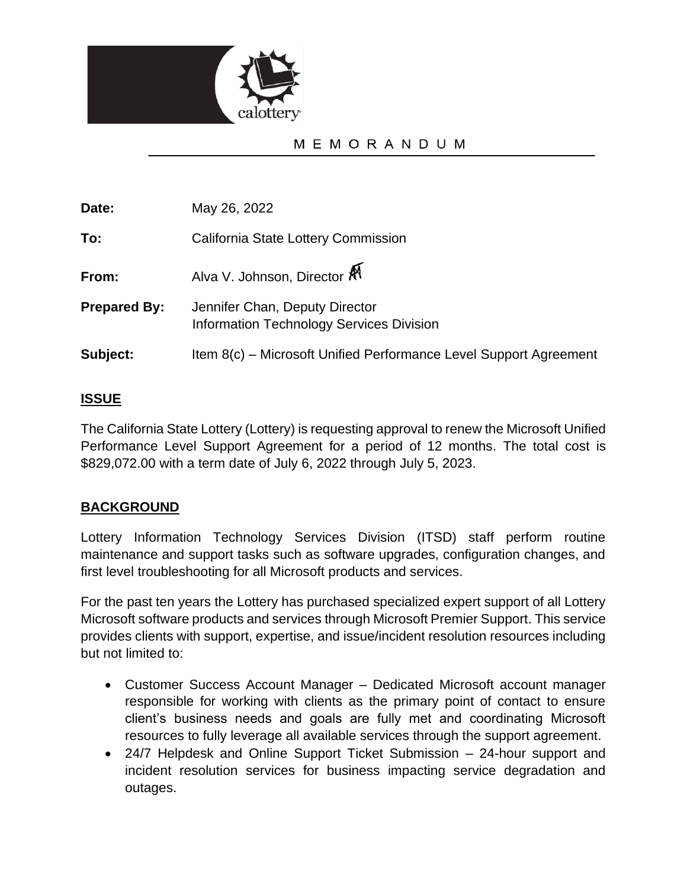

# MEMORANDUM

**Date:** May 26, 2022

**To:** California State Lottery Commission

**From:** Alva V. Johnson, Director  $\mathbb{R}^4$ 

- **Prepared By:** Jennifer Chan, Deputy Director Information Technology Services Division
- **Subject:** Item 8(c) Microsoft Unified Performance Level Support Agreement

## **ISSUE**

The California State Lottery (Lottery) is requesting approval to renew the Microsoft Unified Performance Level Support Agreement for a period of 12 months. The total cost is \$829,072.00 with a term date of July 6, 2022 through July 5, 2023.

# **BACKGROUND**

Lottery Information Technology Services Division (ITSD) staff perform routine maintenance and support tasks such as software upgrades, configuration changes, and first level troubleshooting for all Microsoft products and services.

For the past ten years the Lottery has purchased specialized expert support of all Lottery Microsoft software products and services through Microsoft Premier Support. This service provides clients with support, expertise, and issue/incident resolution resources including but not limited to:

- Customer Success Account Manager Dedicated Microsoft account manager responsible for working with clients as the primary point of contact to ensure client's business needs and goals are fully met and coordinating Microsoft resources to fully leverage all available services through the support agreement.
- 24/7 Helpdesk and Online Support Ticket Submission 24-hour support and incident resolution services for business impacting service degradation and outages.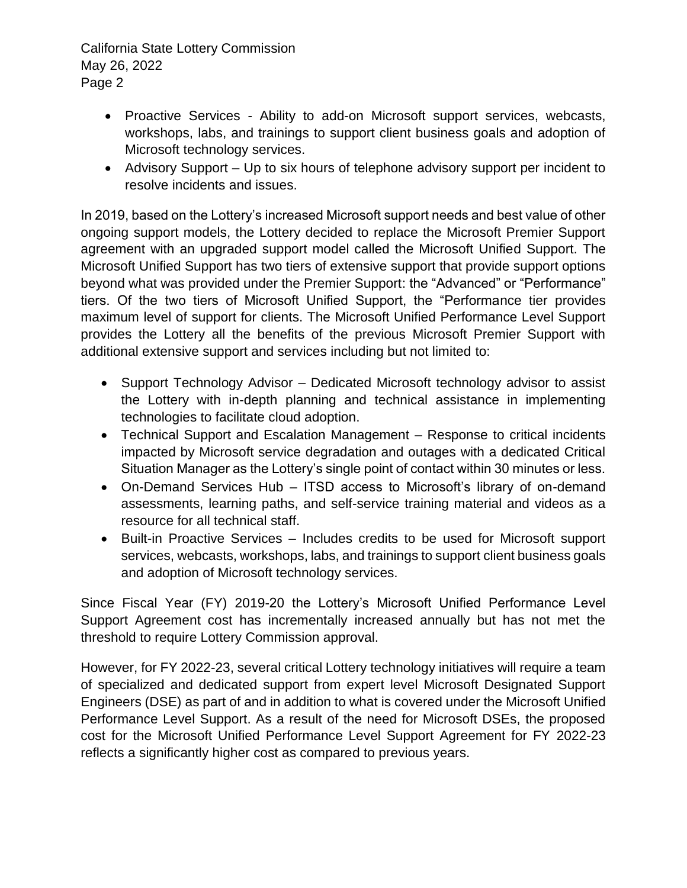California State Lottery Commission May 26, 2022 Page 2

- Proactive Services Ability to add-on Microsoft support services, webcasts, workshops, labs, and trainings to support client business goals and adoption of Microsoft technology services.
- Advisory Support Up to six hours of telephone advisory support per incident to resolve incidents and issues.

In 2019, based on the Lottery's increased Microsoft support needs and best value of other ongoing support models, the Lottery decided to replace the Microsoft Premier Support agreement with an upgraded support model called the Microsoft Unified Support. The Microsoft Unified Support has two tiers of extensive support that provide support options beyond what was provided under the Premier Support: the "Advanced" or "Performance" tiers. Of the two tiers of Microsoft Unified Support, the "Performance tier provides maximum level of support for clients. The Microsoft Unified Performance Level Support provides the Lottery all the benefits of the previous Microsoft Premier Support with additional extensive support and services including but not limited to:

- Support Technology Advisor Dedicated Microsoft technology advisor to assist the Lottery with in-depth planning and technical assistance in implementing technologies to facilitate cloud adoption.
- Technical Support and Escalation Management Response to critical incidents impacted by Microsoft service degradation and outages with a dedicated Critical Situation Manager as the Lottery's single point of contact within 30 minutes or less.
- On-Demand Services Hub ITSD access to Microsoft's library of on-demand assessments, learning paths, and self-service training material and videos as a resource for all technical staff.
- Built-in Proactive Services Includes credits to be used for Microsoft support services, webcasts, workshops, labs, and trainings to support client business goals and adoption of Microsoft technology services.

Since Fiscal Year (FY) 2019-20 the Lottery's Microsoft Unified Performance Level Support Agreement cost has incrementally increased annually but has not met the threshold to require Lottery Commission approval.

However, for FY 2022-23, several critical Lottery technology initiatives will require a team of specialized and dedicated support from expert level Microsoft Designated Support Engineers (DSE) as part of and in addition to what is covered under the Microsoft Unified Performance Level Support. As a result of the need for Microsoft DSEs, the proposed cost for the Microsoft Unified Performance Level Support Agreement for FY 2022-23 reflects a significantly higher cost as compared to previous years.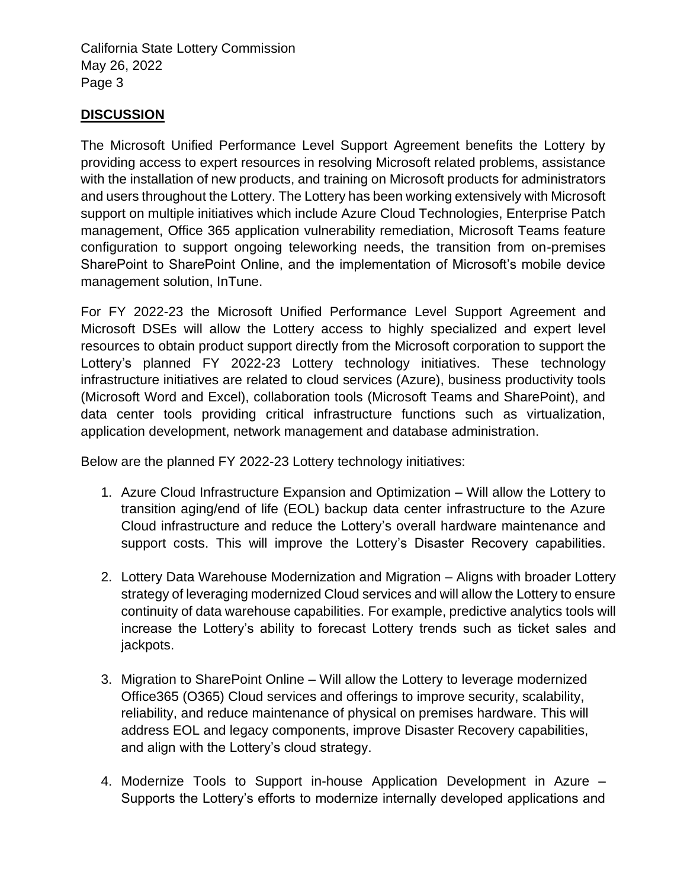California State Lottery Commission May 26, 2022 Page 3

# **DISCUSSION**

The Microsoft Unified Performance Level Support Agreement benefits the Lottery by providing access to expert resources in resolving Microsoft related problems, assistance with the installation of new products, and training on Microsoft products for administrators and users throughout the Lottery. The Lottery has been working extensively with Microsoft support on multiple initiatives which include Azure Cloud Technologies, Enterprise Patch management, Office 365 application vulnerability remediation, Microsoft Teams feature configuration to support ongoing teleworking needs, the transition from on-premises SharePoint to SharePoint Online, and the implementation of Microsoft's mobile device management solution, InTune.

For FY 2022-23 the Microsoft Unified Performance Level Support Agreement and Microsoft DSEs will allow the Lottery access to highly specialized and expert level resources to obtain product support directly from the Microsoft corporation to support the Lottery's planned FY 2022-23 Lottery technology initiatives. These technology infrastructure initiatives are related to cloud services (Azure), business productivity tools (Microsoft Word and Excel), collaboration tools (Microsoft Teams and SharePoint), and data center tools providing critical infrastructure functions such as virtualization, application development, network management and database administration.

Below are the planned FY 2022-23 Lottery technology initiatives:

- 1. Azure Cloud Infrastructure Expansion and Optimization Will allow the Lottery to transition aging/end of life (EOL) backup data center infrastructure to the Azure Cloud infrastructure and reduce the Lottery's overall hardware maintenance and support costs. This will improve the Lottery's Disaster Recovery capabilities.
- 2. Lottery Data Warehouse Modernization and Migration Aligns with broader Lottery strategy of leveraging modernized Cloud services and will allow the Lottery to ensure continuity of data warehouse capabilities. For example, predictive analytics tools will increase the Lottery's ability to forecast Lottery trends such as ticket sales and jackpots.
- 3. Migration to SharePoint Online Will allow the Lottery to leverage modernized Office365 (O365) Cloud services and offerings to improve security, scalability, reliability, and reduce maintenance of physical on premises hardware. This will address EOL and legacy components, improve Disaster Recovery capabilities, and align with the Lottery's cloud strategy.
- 4. Modernize Tools to Support in-house Application Development in Azure Supports the Lottery's efforts to modernize internally developed applications and